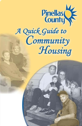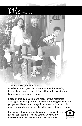



…to the 2005 edition of the *Pinellas County Quick Guide to Community Housing*. Inside these pages you will find affordable housing and homeownership information.

Listed in this publication are many of the resources and agencies that provide affordable housing services and programs. These can change from time to time, so it is always a good idea to call ahead for current information.

For more information, or to request a copy of this guide, contact the Pinellas County Community Development Department at (727) 464-8210.

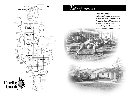



| <b>Housing Choice Voucher Program 9</b> |
|-----------------------------------------|
| Housing for Disabled Persons 10         |
| Housing for Elderly Persons 11          |
| Assisted Living Facilities  13          |
| Homeownership Opportunities 14          |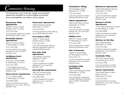### **Community Housing**

The following is a list of private, public and nonprofit apartments available to income-eligible households. Rents and eligibility vary. Please call for details.

#### **Breezeway Villas Apartments**

4928 91<sup>st</sup> Avenue North Pinellas Park, FL 33782 (727) 522-1504

A 22-unit garden apartment complex offering three-bedroom units.

#### **Brookside Square Apartments**

200 72nd Avenue North St. Petersburg, FL 33702

(727) 522-1444

A 42-unit apartment complex offering one-, two- and threebedroom units.

#### **Caribbean Court Apartments**

3110 42<sup>nd</sup> Avenue North St. Petersburg, FL 33714 (727) 522-1504

A 10-unit garden apartment complex offering two- and threebedroom units.

#### **Citrus Groves Apartments**

731 15th Street South St. Petersburg, FL 33704 (727) 895-3649

An 84-unit apartment complex offering one-, two-, three- and fourbedroom units.

#### **Clearwater Apartments**

1000 North Keene Road Clearwater, FL 33755 (727) 446-2244 A 90-unit apartment complex offering two- and three-bedroom units.

#### **Cross Bayou Villas**

7200 71st Street North Pinellas Park, FL 33781 (727) 522-1504 A 34-unit development offering efficiency apartments and twoand three-bedroom units.

#### **East Lake Club Apartments**

150 Eastlake Club Drive Oldsmar, FL 34677 (727) 771-1685 A 240-unit apartment complex offering one-, two- and threebedroom units.

#### **Emerald Bay Apartments**

3901 38th Avenue South St. Petersburg, FL 33711 (727) 866-2423 A 320-unit apartment complex offering one-, two- and threebedroom units.

#### **Foundation Village**

910 Woodlawn Street Clearwater, FL 33756

(727) 461-0618

A 28-unit apartment complex offering two-bedroom units.

#### **Fulton Apartments**

1602-1620 Fulton Avenue Clearwater, FL 33755

(727) 461-0618 A 19-unit apartment complex offering one-, two- and threebedroom units.

#### **Hidden Cove**

3840 34th Avenue South St. Petersburg, FL 33711 (727) 522-1504 An 8-unit apartment complex offering two-bedroom units.

#### **Isles of Gateway**

10600 4th Street North St. Petersburg, FL 33716 (727) 579-4771

A 212-unit apartment complex offering one-, two- and threebedroom units.

#### **Lexington Club Apartments**

1200 South Missouri Avenue Clearwater, FL 33756

(727) 446-2582

A 240-unit garden apartment complex offering two-bedroom units to elderly and disabled persons.

#### **Mainstreet Apartments**

1100 South Missouri Avenue Clearwater, FL 33756

(727) 443-3339

A 204-unit apartment complex offering one-, two- and threebedroom units.

#### **Mariner's Pointe Apartments**

1175 Pinellas Point Drive South St. Petersburg, FL 33705 (727) 867-8090

A 368-unit apartment complex offering one-, two- and threebedroom units.

#### **Melrose on the Bay**

16321 Bolesta Road Clearwater, FL 33760

(727) 531-2369

A 358-unit apartment complex offering one-, two- and threebedroom units.

#### **Northside Villas**

2675 50th Avenue North St. Petersburg, FL 33714 (727) 522-1504 A 43-unit apartment complex offering three-bedroom units.

#### **Norton Apartments**

1450 South Martin Luther King Ir. Avenue Clearwater, FL 33756

(727) 441-9010

A 48-unit apartment complex offering one-, two-, three- and fourbedroom units.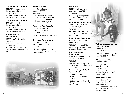#### **Oak Trace Apartments**

2550 52nd Avenue North St. Petersburg, FL 33714 (727) 522-1504 A 16-unit apartment complex offering three-bedroom units.

#### **Oak Villas Apartments**

4901 37th Street North St. Petersburg, FL 33714 (727) 522-1504 A 20-unit apartment complex offering two-bedroom units.

#### **Palmetto Park Apartments**

1003 North Martin Luther King Jr. Avenue Clearwater, FL 33755

(727) 469-8986

A 192-unit apartment complex offering two- and three-bedroom units.

#### **Pinellas Village**

8384 Bayou Boardwalk Largo, FL 33777 (727) 399-2500 A 120-unit family apartment

complex, designed to meet the specific needs of low-income, single-parent families who are seeking economic self-sufficiency.

#### **Pineview Apartments**

1585 Greenlea Drive Clearwater, FL 33755 (727) 442-0546 A 50-unit apartment complex offering one- and two-bedroom units.

#### **Riverside Apartments**

1589 Starlight Cove Tarpon Springs, FL 34689 (727) 945-7900

A 304-unit apartment complex offering one-, two-, three- and fourbedroom units.



#### **Sabal Walk**

2065 North Highland Avenue Clearwater, FL 33755

(727) 449-1956

A 182-unit garden apartment complex offering one-, two- and three-bedroom units.

#### **Sand Pebble Apartments**

2700 52nd Avenue North St. Petersburg, FL 33714 (727) 522-1504

An 18-unit garden apartment complex offering two- and threebedroom units.

#### **Shady Pines Apartments**

4037 76th Avenue North Pinellas Park, FL 33781 (727) 821-4819 ext. 5103 An 8-unit garden apartment complex offering one-bedroom units.

#### **The Hampton at Clearwater**

1099 McMullen Booth Road Clearwater, FL 33759

(727) 726-8861

A 275-unit apartment complex with one- and two-bedroom units for elderly persons.

#### **The Landings at Boot Ranch West**

212 Katherine Blvd Palm Harbor, FL 34684

(727) 781-5525

A 232-unit apartment complex offering one-, two-, three- and fourbedroom units.

#### **Wellington Apartments**

2900 Drew Street Clearwater, FL 33759

(727) 726-6888

A 352-unit apartment complex offering one-, two- and threebedroom units.

#### **Whispering Hills Apartments**

612 Bass Court Dunedin, FL 34698

(727) 733-2169

A 160-unit apartment complex offering one-, two- and threebedroom units.

#### **Wind Tree Villas**

5384-A Laurel Place Clearwater, FL 33760 (727) 535-6062

A 133-unit apartment complex with one-, two- and threebedroom units.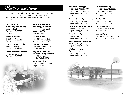## **Public Rental Housing**

There are four public housing authorities in Pinellas County: Pinellas County, St. Petersburg, Clearwater and Tarpon Springs. Rental rates are determined according to the tenant's income.

#### **Clearwater Housing Authority**

908 Cleveland Street Clearwater, FL 33755 (727) 461-5777

#### **Barbee Towers**

1100 Druid Road East Clearwater, FL 33756

#### **Lewis E. Homer Villas**

1884 North Betty Lane Clearwater, FL 33755

#### **Ralph Richards Towers**

211 Prospect Avenue Clearwater, FL 33756

#### **Pinellas County Housing Authority**

11479 Ulmerton Road Largo, FL 33778 (727) 443-7684

#### **French Villas**

6835 54th Avenue North St. Petersburg, FL 33709

### **Lakeside Terrace**

4200 62nd Avenue North Pinellas Park, FL 33781

#### **Magnolia Gardens Assisted Living Facility**

3800 62nd Avenue North Pinellas Park, FL 33781

#### **Rainbow Village**

12301 134<sup>th</sup> Avenue North Largo, FL 33774

#### **Tarpon Springs Housing Authority**

500 South Walton Avenue Tarpon Springs, FL 34689 (727) 937-4411

#### **Mango Circle Apartments**

701A –737B Mango Circle Tarpon Springs, FL 34689

#### **Lemon Street Apartments**

200 East Lemon Street Tarpon Springs, FL 34689

#### **Pine Street Apartments**

200 East Pine Street Tarpon Springs, FL 34689

#### **Ring Avenue Apartments**

305 North Ring Avenue Tarpon Springs, FL 34689

#### **Walton Avenue Apartments**

500 South Walton Avenue Tarpon Springs, FL 34689

#### **St. Petersburg Housing Authority**

3250 5th Avenue North St. Petersburg, FL 33713 (727) 323-3171

#### **Disston Place**

3940 55th Street North St. Petersburg, FL 33709

#### **Clearview Park**

3200 37th Avenue North St. Petersburg, FL 33713

#### **Jordan Park**

1245 Jordan Park Street South St. Petersburg, FL 33712

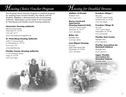## **Housing Choice Voucher Program**

The Housing Choice Voucher Program is a federal program for assisting lower income families, the elderly and the disabled. Eligibility is determined by the local Housing Authority. Applications can be made to the Clearwater, St. Petersburg and Pinellas County Housing Authority.

#### **Clearwater Housing Authority**

908 Cleveland Street Clearwater, FL 33755 (737) 461-5777 www.clearwaterhousingauth.org

#### **St. Petersburg Housing Authority**

3250 5th Avenue North St. Petersburg, FL 33713 (727) 323-3171 www.stpeteha.org

#### **Pinellas County Housing Authority**

11479 Ulmerton Road Largo, FL 33778 (727) 443-7684

## **Housing for Disabled Persons**

#### **Abilities of Florida**

Multiple Sites (727) 538-7370

#### **Bayou Courtyard Apartments (Hearing Impared Only)**

7545 83rd Street North Seminole, FL 33777 (727) 399-9983

#### **Boley, Inc.**

Multiple Sites (727) 821-4819

#### **Casa Miguel Housing**

82 Units 2285 State Road 580 Clearwater, FL 33763 (727) 797-8551

#### **Freedom Village I**

89 Units 7700 66th Street North Pinellas Park, FL 33781 (727) 541-6620

#### **Freedom Village III**

40 Units 1167 Turner Street Clearwater, FL 33756 (727) 443-6799

#### **Pinellas Start Center**

Multiple Sites (727) 796-4012

#### **Pinellas Association for Retarded Children**

Multiple Sites (727) 345-9111

#### **Upper Pinellas Association for Retarded Citizens**

Multiple Sites (727) 799-3330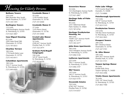# **Housing for Elderly Persons** Greenview Manor

#### **Bethany Towers**

210 Units 880 Oleander Way South South Pasadena, FL 33707 (727) 344-1491

#### **Burlington Towers**

115 Units 1000 Burlington Avenue North St. Petersburg, FL 33705 (727) 823-3867

#### **Casa Miguel Housing**

82 Units 2285 State Road 580 Clearwater, FL 33763 (727) 797-8551

#### **Clearbay Terrace**

100 Units 1770 North Betty Lane Clearwater, FL 33755 (727) 443-0411

#### **Columbian Apartments**

188 Units 518 3rd Avenue South St. Petersburg, FL 33705 (727) 895-8591

#### **Creekside Manor I**

55 Units 1318 Franklin Street Clearwater, FL 33756 (727) 441-8400

#### **Creekside Manor II**

37 Units 1335 Pierce Street Clearwater, FL 33756 (727) 441-8400

#### **Crystal Lake Manor Apartments**

52 Units 4100 62nd Avenue North Pinellas Park, FL 33781 (727) 522-2074

#### **Graham Park/Rogall Congregate**

336 Units 325 9th Street South St. Petersburg, FL 33701 (727) 822-6330

52 Units 1212 Burlington Avenue North St. Petersburg, FL 33705 (727) 821-2807

#### **Heritage Oaks of Palm Harbor**

94 Units 2351 Alderman Road Palm Harbor, FL 34683 (727) 787-0792

#### **Heritage Presbyterian Housing, Inc**

400 Units 10200 122nd Avenue North Largo, FL 33773 (727) 393-3477

#### **John Knox Apartments**

300 Units 1035 Arlington Avenue North St. Petersburg, FL 33705 (727) 896-5148

#### **Lutheran Apartments**

225 Units 550 1st Avenue South St. Petersburg, FL 33701 (727) 896-3197

#### **MLF Towers**

145 Units 540 2<sup>nd</sup> Avenue South St. Petersburg, FL 33701 (727) 823-5145

#### **Oceanside Estates**

104 Units 6700 102nd Avenue Pinellas Park, FL 33782 (727) 514-6557

#### **Palm Lake Village**

1515 County Road One Dunedin, FL 34698 (727) 733-8880

#### **Peterborough Apartments**

153 Units 440 4th Avenue North St. Petersburg, FL 33701 (727) 823-5145

#### **Presbyterian Towers**

210 Units 430 Bay Street Northeast St. Petersburg, FL 33701 (727) 822-3823

#### **Prospect Towers**

208 Units 801 Chestnut Street Clearwater, FL 33756 (727) 447-5701

#### **St. Giles Manor**

106 Units 5041 82nd Avenue North Pinellas Park, FL 33781 (727) 541-5741

#### **Tarpon Springs Manor**

90 Units 61000 Polly Drive Tarpon Springs, FL 34689 (727) 934-3496

#### **Trinity House Apartments**

76 Units 5701 16th Street South St. Petersburg, FL 33705 (727) 865-7590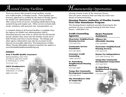### **Assisted Living Facilities**

There are almost 300 Assisted Living Facilities, serving over 9,000 people, in Pinellas County. These facilities are licensed, approved or certified by the State of Florida Agency for Health Care Administration. Assisted Living Facilities offer various levels of service, including independent living, assisted living and respite care. Other services include daily meals, assistance with personal care, transportation, etc.

A complete listing of all licensed facilities is available from the Agency for Health Care Administration (AHCA). Interested persons may write or call for the list and should specify whether they want only the Pinellas County list or both Pinellas and Pasco County listings. The listings and other agency information may also be accessed via the Internet at www.fdhc.state.fl.us. The Department of Elder Affairs' Florida Affordable Assisted Living Web site address is www.floridaaffordableassistedliving.org.

#### *Contact:*

#### **Area 5 Health Quality Assurance**

Sebring Building, Suite 410A 525 Mirror Lake Drive North St. Petersburg, FL 33701 (727) 552-1133

#### **AHCA Headquarters**

2727 Mahan Drive Tallahassee, FL 32308 (888) 419-3456

## $H$ omeownership Opportunties

Owning a home is part of the American Dream. Here are some resources that can help you reach your dream of homeownership.

#### **Housing Finance Authority of Pinellas County First-Time Homebuyer Program**

The Housing Finance Authority provides financing for the purchase of new or existing housing by first-time home buyers. 1-800-806-5154.

#### **Credit Counseling Agencies**

#### **Clearwater Neighborhood Housing Services**

(727) 442-4155

**Community Service Foundation** (727) 461-0618

**Consumer Credit Counseling** 1-800-720-9537

**St. Petersburg Neighborhood Housing Services** (727) 821-6897

**Tampa Bay Community Development Corporation**

(727) 442-7075

**The HomeBuyers Club of Tampa Bay** (727) 446-6222

#### **Down Payment Assistance**

**Alliance for Affordable Housing** (727) 224-0645

**Clearwater Neighborhood Housing Services** (727) 442-4155

**Homes For Independence** (727) 538-7370 ext. 357

**Tampa Bay Community Development Corporation** (727) 442-7075

**St. Petersburg Neighborhood Housing Services** (727) 821-6897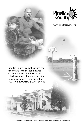

www.pinellascounty.org

Pinellas County complies with the Americans with Disabilities Act. To obtain accessible formats of this document, please contact the Communications Department at (727) 464-4600/TDD (727) 464-4431.